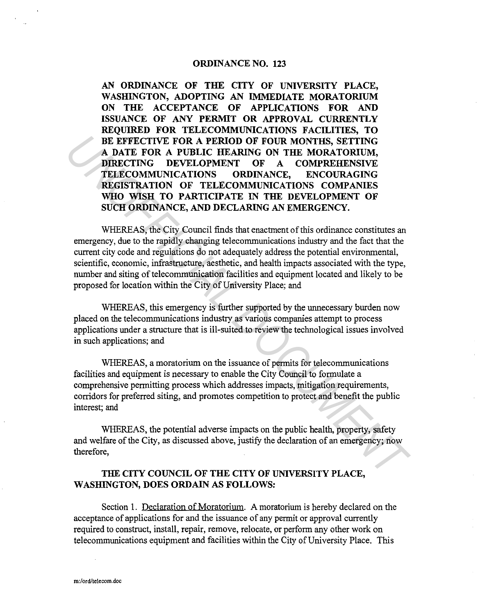## **ORDINANCE NO. 123**

**AN ORDINANCE OF THE CITY OF UNIVERSITY PLACE, WASHINGTON, ADOPTING AN IMMEDIATE MORATORIUM ON THE ACCEPTANCE OF APPLICATIONS FOR AND ISSUANCE OF ANY PERMIT OR APPROVAL CURRENTLY REQUIRED FOR TELECOMMUNICATIONS FACILITIES, TO BE EFFECTIVE FOR A PERIOD OF FOUR MONTHS, SETTING A DATE FOR A PUBLIC HEARING ON THE MORATORIUM, DIRECTING DEVELOPMENT OF A COMPREHENSIVE TELECOMMUNICATIONS ORDINANCE, ENCOURAGING REGISTRATION OF TELECOMMUNICATIONS COMPANIES WHO WISH TO PARTICIPATE IN THE DEVELOPMENT OF SUCH ORDINANCE, AND DECLARING AN EMERGENCY. EXECUTIVE FOR A PERIOD OF FOUR MONTHS, SETTING**<br> **A DATE FOR A PUBLIC HEARING** ON THE MORATORIUM,<br> **DIRECTING DEVELOPMENT** OF A COMPREHENSIVE<br> **TELECOMMUNICATIONS ORDENATES**<br> **REGISTRATION OF TELECOMMUNICATIONS CONFAGNES** 

WHEREAS, the City Council finds that enactment of this ordinance constitutes an emergency, due to the rapidly changing telecommunications industry and the fact that the current city code and regulations do not adequately address the potential environmental, scientific, economic, infrastructure, aesthetic, and health impacts associated with the type, number and siting of telecommunication facilities and equipment located and likely to be proposed for location within the City of University Place; and

WHEREAS, this emergency is further supported by the unnecessary burden now placed on the telecommunications industry as various companies attempt to process applications under a structure that is ill-suited to review the technological issues involved in such applications; and

WHEREAS, a moratorium on the issuance of permits for telecommunications facilities and equipment is necessary to enable the City Council to formulate a comprehensive permitting process which addresses impacts, mitigation requirements, corridors for preferred siting, and promotes competition to protect and benefit the public interest; and

WHEREAS, the potential adverse impacts on the public health, property, safety and welfare of the City, as discussed above, justify the declaration of an emergency; now therefore,

## **THE CITY COUNCIL OF THE CITY OF UNIVERSITY PLACE, WASHINGTON, DOES ORDAIN AS FOLLOWS:**

Section 1. Declaration of Moratorium. A moratorium is hereby declared on the acceptance of applications for and the issuance of any permit or approval currently required to construct, install, repair, remove, relocate, or perform any other work on telecommunications equipment and facilities within the City of University Place. This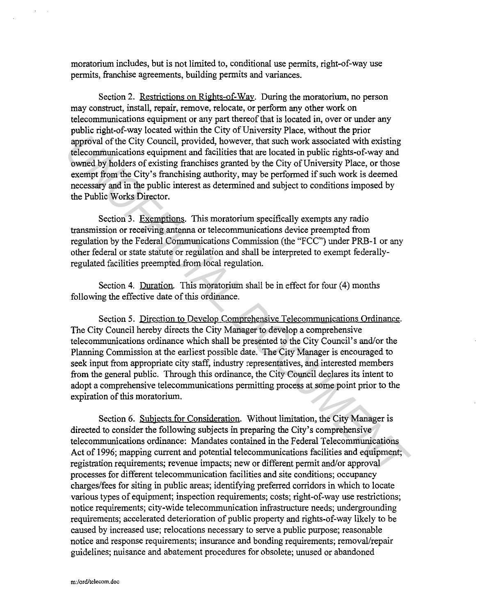moratorium includes, but is not limited to, conditional use permits, right-of-way use permits, franchise agreements, building permits and variances.

Section 2. Restrictions on Rights-of-Way. During the moratorium, no person may construct, install, repair, remove, relocate, or perform any other work on telecommunications equipment or any part thereof that is located in, over or under any public right-of-way located within the City of University Place, without the prior approval of the City Council, provided, however, that such work associated with existing telecommunications equipment and facilities that are located in public rights-of-way and owned by holders of existing franchises granted by the City of University Place, or those exempt from the City's franchising authority, may be performed if such work is deemed necessary and in the public interest as determined and subject to conditions imposed by the Public Works Director.

Section 3. Exemptions. This moratorium specifically exempts any radio transmission or receiving antenna or telecommunications device preempted from regulation by the Federal Communications Commission (the "FCC") under PRB-1 or any other federal or state statute or regulation and shall be interpreted to exempt federallyregulated facilities preempted from local regulation.

Section 4. Duration. This moratorium shall be in effect for four (4) months following the effective date of this ordinance.

Section 5. Direction to Develop Comprehensive Telecommunications Ordinance. The City Council hereby directs the City Manager to develop a comprehensive telecommunications ordinance which shall be presented to the City Council's and/or the Planning Commission at the earliest possible date. The City Manager is encouraged to seek input from appropriate city staff, industry representatives, and interested members from the general public. Through this ordinance, the City Council declares its intent to adopt a comprehensive telecommunications permitting process at some point prior to the expiration of this moratorium. **Expression of the City Council, provided, however, that such work associated with existing telecommunications equipment and facilities that are located in public eights of way and the propared by holders of existing franc** 

Section 6. Subjects for Consideration. Without limitation, the City Manager is directed to consider the following subjects in preparing the City's comprehensive telecommunications ordinance: Mandates contained in the Federal Telecommunications Act of 1996; mapping current and potential telecommunications facilities and equipment; registration requirements; revenue impacts; new or different permit and/or approval processes for different telecommunication facilities and site conditions; occupancy charges/fees for siting in public areas; identifying preferred corridors in which to locate various types of equipment; inspection requirements; costs; right-of-way use restrictions; notice requirements; city-wide telecommunication infrastructure needs; undergrounding requirements; accelerated deterioration of public property and rights-of-way likely to be caused by increased use; relocations necessary to serve a public purpose; reasonable notice and response requirements; insurance and bonding requirements; removal/repair guidelines; nuisance and abatement procedures for obsolete; unused or abandoned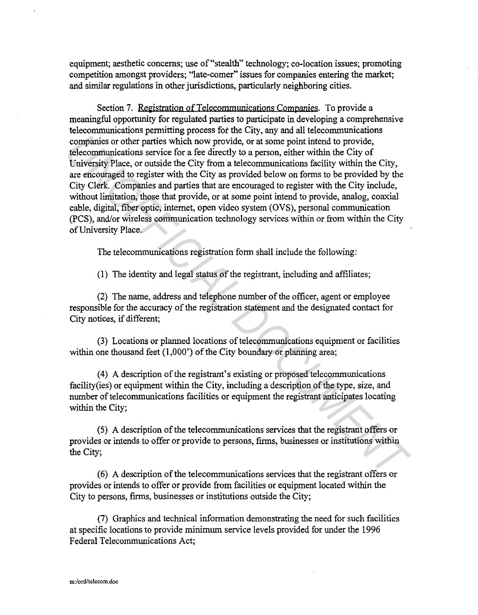equipment; aesthetic concerns; use of "stealth" technology; co-location issues; promoting competition amongst providers; "late-comer" issues for companies entering the market; and similar regulations in other jurisdictions, particularly neighboring cities.

Section 7. Registration of Telecommunications Companies. To provide a meaningful opportunity for regulated parties to participate in developing a comprehensive telecommunications permitting process fot the City, any and all telecommunications companies or other parties which now provide, or at some point intend to provide, telecommunications service for a fee directly to a person, either within the City of Cniversity Place, or outside the City from a telecommunications facility within the City, are encouraged to register with the City as provided below on forms to be provided by the City Clerk. Companies and parties that are encouraged to register with the City include, without limitation, those that provide, or at some point intend to provide, analog, coaxial cable, digital, fiber optic, internet, open video system (OVS), personal communication (PCS), and/or wireless communication technology services within or from within the City of University Place. companies or other parties which now provide, or at some point intend to provide,<br> **University Place, or outside the City form** a telecompumications facility within the City<br> **University Place, or outside the City form** a

The telecommunications registration form shall include the following:

(1) The identity and legal status of the registrant, including and affiliates;

(2) The name, address and telephone number of the officer, agent or employee responsible for the accuracy of the registration statement and the designated contact for City notices, if different;

(3) Locations or planned locations of telecommunications equipment or facilities within one thousand feet  $(1,000)$  of the City boundary or planning area;

(4) A description of the registrant's existing or proposed telecommunications facility(ies) or equipment within the City, including a description of the type, size, and number of telecommunications facilities or equipment the registrant anticipates locating within the City;

(5) A description of the telecommunications services that the registrant offers or provides or intends to offer or provide to persons, firms, businesses or institutions within the City;

(6) A description of the telecommunications services that the registrant offers or provides or intends to offer or provide from facilities or equipment located within the City to persons, firms, businesses or institutions outside the City;

(7) Graphics and technical information demonstrating the need for such facilities at specific locations to provide minimum service levels provided for under the 1996 Federal Telecommunications Act;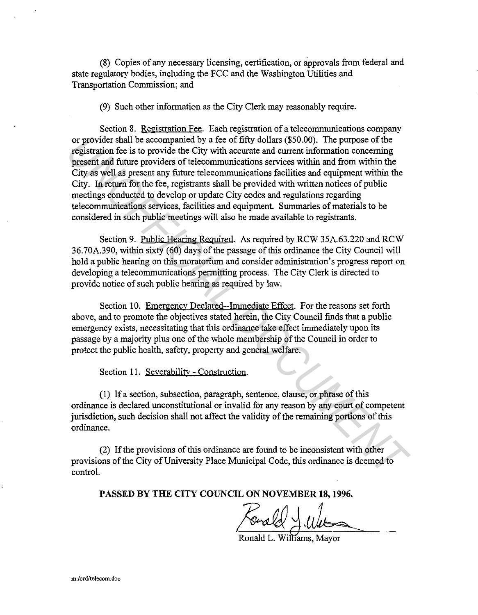(8) Copies of any necessary licensing, certification, or approvals from federal and state regulatory bodies, including the FCC and the Washington Utilities and Transportation Commission; and

(9) Such other information as the City Clerk may reasonably require.

Section 8. Registration Fee. Each registration of a telecommunications company or provider shall be accompanied by a fee of fifty dollars (\$50.00). The purpose of the registration fee is to provide the City with accurate and current information concerning present and future providers of telecommunications services within and from within the City as well as present any future telecommunications facilities and equipment within the City. In return for the fee, registrants shall be provided with written notices of public meetings conducted to develop or update City codes and regulations regarding telecommunications services, facilities and equipment. Summaries of materials to be considered in such public meetings will also be made available to registrants. or provider shall be accompanied by a fee of fifty dollars (\$50.00). The purpose of the registration fee is to provide the City with accurate and current information concerning present and thure providers of telecommunicat

Section 9. Public Hearing Required. As required by RCW 35A.63.220 and RCW 36.70A.390, within sixty (60) days of the passage of this ordinance the City Council will hold a public hearing on this moratorium and consider administration's progress report on developing a telecommunications permitting process. The City Clerk is directed to provide notice of such public hearing as required by law.

Section 10. Emergency Declared--Immediate Effect. For the reasons set forth above, and to promote the objectives stated herein, the City Council finds that a public emergency exists, necessitating that this ordinance take effect immediately upon its passage by a majority plus one of the whole membership of the Council in order to protect the public health, safety, property and general welfare.

Section 11. Severability - Construction.

(1) If a section, subsection, paragraph, sentence, clause, or phrase of this ordinance is declared unconstitutional or invalid for any reason by any court of competent jurisdiction, such decision shall not affect the validity of the remaining portions of this ordinance.

(2) If the provisions of this ordinance are found to be inconsistent with other provisions of the City of University Place Municipal Code, this ordinance is deemed to control.

**PASSED BY THE CITY COUNCIL ON NOVEMBER 18, 1996.** 

Ronald L. Williams, Mayor